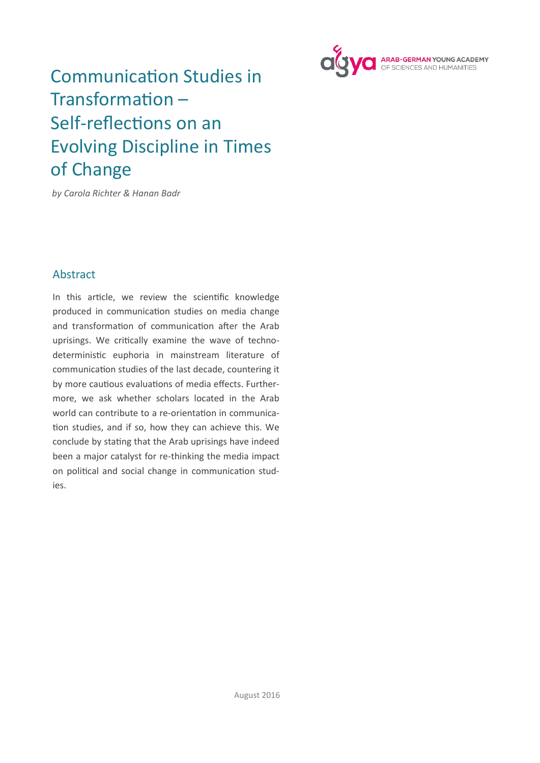

# Communication Studies in Transformation – Self-reflections on an Evolving Discipline in Times of Change

*by Carola Richter & Hanan Badr* 

## Abstract

In this article, we review the scientific knowledge produced in communication studies on media change and transformation of communication after the Arab uprisings. We critically examine the wave of technodeterministic euphoria in mainstream literature of communication studies of the last decade, countering it by more cautious evaluations of media effects. Furthermore, we ask whether scholars located in the Arab world can contribute to a re-orientation in communication studies, and if so, how they can achieve this. We conclude by stating that the Arab uprisings have indeed been a major catalyst for re-thinking the media impact on political and social change in communication studies.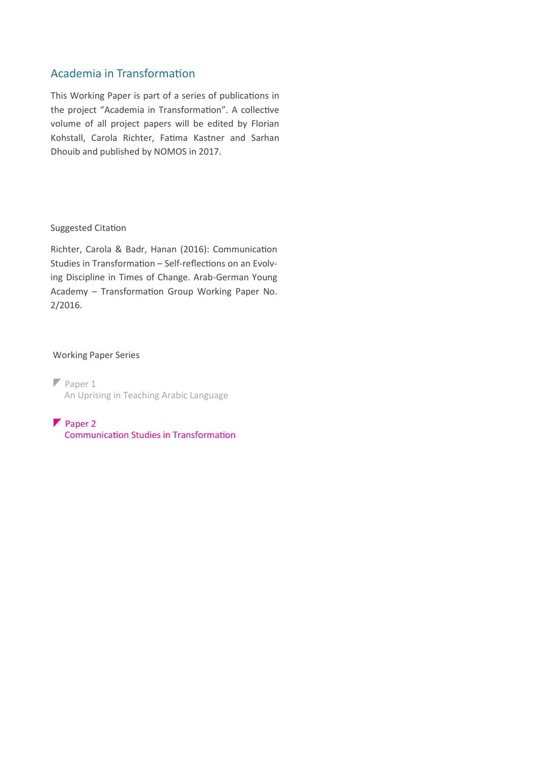# Academia in Transformation

This Working Paper is part of a series of publications in the project "Academia in Transformation". A collective volume of all project papers will be edited by Florian Kohstall, Carola Richter, Fatima Kastner and Sarhan Dhouib and published by NOMOS in 2017.

### Suggested Citation

Richter, Carola & Badr, Hanan (2016): Communication Studies in Transformation – Self-reflections on an Evolving Discipline in Times of Change. Arab-German Young Academy – Transformation Group Working Paper No. 2/2016.

### Working Paper Series

 $\n *Paper* 1\n$ An Uprising in Teaching Arabic Language

Paper 2 Communication Studies in Transformation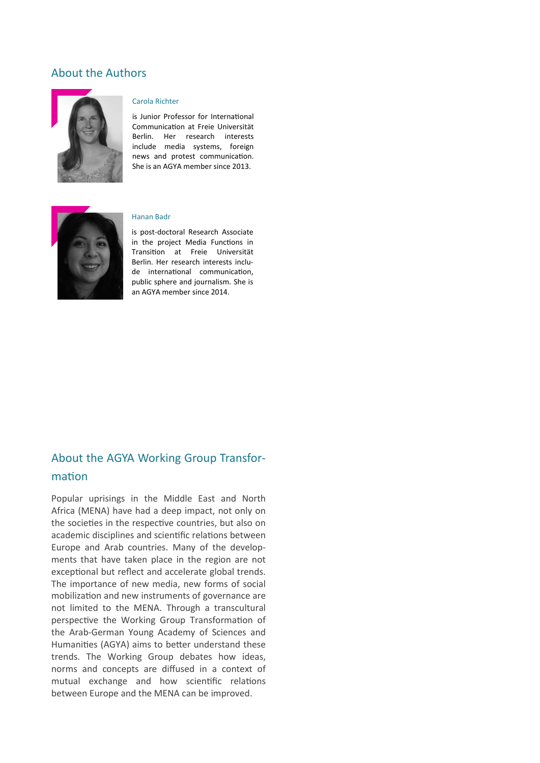### About the Authors



#### Carola Richter

is Junior Professor for International Communication at Freie Universität Berlin. Her research interests include media systems, foreign news and protest communication. She is an AGYA member since 2013.



#### Hanan Badr

is post-doctoral Research Associate in the project Media Functions in Transition at Freie Universität Berlin. Her research interests include international communication, public sphere and journalism. She is an AGYA member since 2014.

# About the AGYA Working Group Transformation

Popular uprisings in the Middle East and North Africa (MENA) have had a deep impact, not only on the societies in the respective countries, but also on academic disciplines and scientific relations between Europe and Arab countries. Many of the developments that have taken place in the region are not exceptional but reflect and accelerate global trends. The importance of new media, new forms of social mobilization and new instruments of governance are not limited to the MENA. Through a transcultural perspective the Working Group Transformation of the Arab-German Young Academy of Sciences and Humanities (AGYA) aims to better understand these trends. The Working Group debates how ideas, norms and concepts are diffused in a context of mutual exchange and how scientific relations between Europe and the MENA can be improved.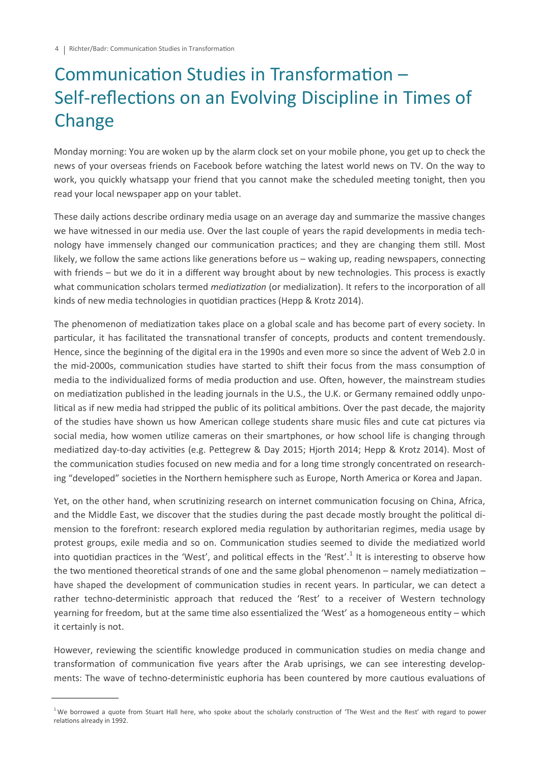# Communication Studies in Transformation – Self-reflections on an Evolving Discipline in Times of Change

Monday morning: You are woken up by the alarm clock set on your mobile phone, you get up to check the news of your overseas friends on Facebook before watching the latest world news on TV. On the way to work, you quickly whatsapp your friend that you cannot make the scheduled meeting tonight, then you read your local newspaper app on your tablet.

These daily actions describe ordinary media usage on an average day and summarize the massive changes we have witnessed in our media use. Over the last couple of years the rapid developments in media technology have immensely changed our communication practices; and they are changing them still. Most likely, we follow the same actions like generations before us – waking up, reading newspapers, connecting with friends – but we do it in a different way brought about by new technologies. This process is exactly what communication scholars termed *mediatization* (or medialization). It refers to the incorporation of all kinds of new media technologies in quotidian practices (Hepp & Krotz 2014).

The phenomenon of mediatization takes place on a global scale and has become part of every society. In particular, it has facilitated the transnational transfer of concepts, products and content tremendously. Hence, since the beginning of the digital era in the 1990s and even more so since the advent of Web 2.0 in the mid-2000s, communication studies have started to shift their focus from the mass consumption of media to the individualized forms of media production and use. Often, however, the mainstream studies on mediatization published in the leading journals in the U.S., the U.K. or Germany remained oddly unpolitical as if new media had stripped the public of its political ambitions. Over the past decade, the majority of the studies have shown us how American college students share music files and cute cat pictures via social media, how women utilize cameras on their smartphones, or how school life is changing through mediatized day-to-day activities (e.g. Pettegrew & Day 2015; Hjorth 2014; Hepp & Krotz 2014). Most of the communication studies focused on new media and for a long time strongly concentrated on researching "developed" societies in the Northern hemisphere such as Europe, North America or Korea and Japan.

Yet, on the other hand, when scrutinizing research on internet communication focusing on China, Africa, and the Middle East, we discover that the studies during the past decade mostly brought the political dimension to the forefront: research explored media regulation by authoritarian regimes, media usage by protest groups, exile media and so on. Communication studies seemed to divide the mediatized world into quotidian practices in the 'West', and political effects in the 'Rest'.<sup>1</sup> It is interesting to observe how the two mentioned theoretical strands of one and the same global phenomenon – namely mediatization – have shaped the development of communication studies in recent years. In particular, we can detect a rather techno-deterministic approach that reduced the 'Rest' to a receiver of Western technology yearning for freedom, but at the same time also essentialized the 'West' as a homogeneous entity – which it certainly is not.

However, reviewing the scientific knowledge produced in communication studies on media change and transformation of communication five years after the Arab uprisings, we can see interesting developments: The wave of techno-deterministic euphoria has been countered by more cautious evaluations of

 $1$ We borrowed a quote from Stuart Hall here, who spoke about the scholarly construction of 'The West and the Rest' with regard to power relations already in 1992.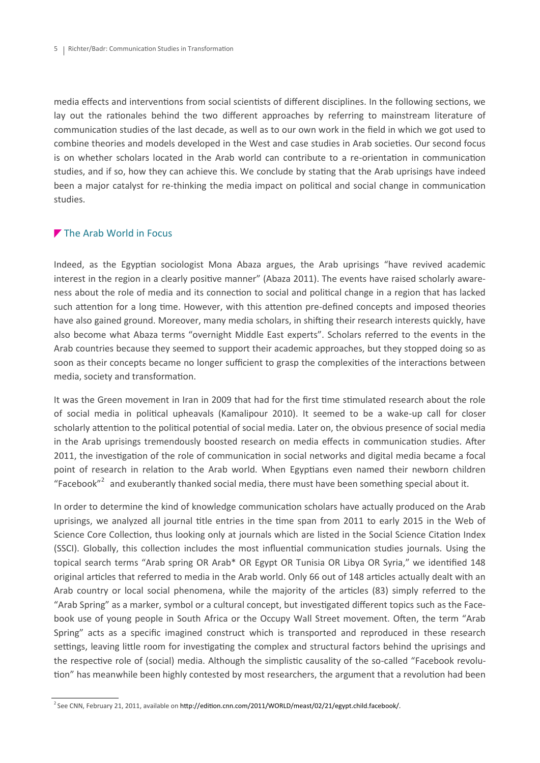media effects and interventions from social scientists of different disciplines. In the following sections, we lay out the rationales behind the two different approaches by referring to mainstream literature of communication studies of the last decade, as well as to our own work in the field in which we got used to combine theories and models developed in the West and case studies in Arab societies. Our second focus is on whether scholars located in the Arab world can contribute to a re-orientation in communication studies, and if so, how they can achieve this. We conclude by stating that the Arab uprisings have indeed been a major catalyst for re-thinking the media impact on political and social change in communication studies.

### The Arab World in Focus

Indeed, as the Egyptian sociologist Mona Abaza argues, the Arab uprisings "have revived academic interest in the region in a clearly positive manner" (Abaza 2011). The events have raised scholarly awareness about the role of media and its connection to social and political change in a region that has lacked such attention for a long time. However, with this attention pre-defined concepts and imposed theories have also gained ground. Moreover, many media scholars, in shifting their research interests quickly, have also become what Abaza terms "overnight Middle East experts". Scholars referred to the events in the Arab countries because they seemed to support their academic approaches, but they stopped doing so as soon as their concepts became no longer sufficient to grasp the complexities of the interactions between media, society and transformation.

It was the Green movement in Iran in 2009 that had for the first time stimulated research about the role of social media in political upheavals (Kamalipour 2010). It seemed to be a wake-up call for closer scholarly attention to the political potential of social media. Later on, the obvious presence of social media in the Arab uprisings tremendously boosted research on media effects in communication studies. After 2011, the investigation of the role of communication in social networks and digital media became a focal point of research in relation to the Arab world. When Egyptians even named their newborn children "Facebook"<sup>2</sup> and exuberantly thanked social media, there must have been something special about it.

In order to determine the kind of knowledge communication scholars have actually produced on the Arab uprisings, we analyzed all journal title entries in the time span from 2011 to early 2015 in the Web of Science Core Collection, thus looking only at journals which are listed in the Social Science Citation Index (SSCI). Globally, this collection includes the most influential communication studies journals. Using the topical search terms "Arab spring OR Arab\* OR Egypt OR Tunisia OR Libya OR Syria," we identified 148 original articles that referred to media in the Arab world. Only 66 out of 148 articles actually dealt with an Arab country or local social phenomena, while the majority of the articles (83) simply referred to the "Arab Spring" as a marker, symbol or a cultural concept, but investigated different topics such as the Facebook use of young people in South Africa or the Occupy Wall Street movement. Often, the term "Arab Spring" acts as a specific imagined construct which is transported and reproduced in these research settings, leaving little room for investigating the complex and structural factors behind the uprisings and the respective role of (social) media. Although the simplistic causality of the so-called "Facebook revolution" has meanwhile been highly contested by most researchers, the argument that a revolution had been

<sup>&</sup>lt;sup>2</sup> See CNN, February 21, 2011, available on [http://edition.cnn.com/2011/WORLD/meast/02/21/egypt.child.facebook/.](http://edition.cnn.com/2011/WORLD/meast/02/21/egypt.child.facebook/)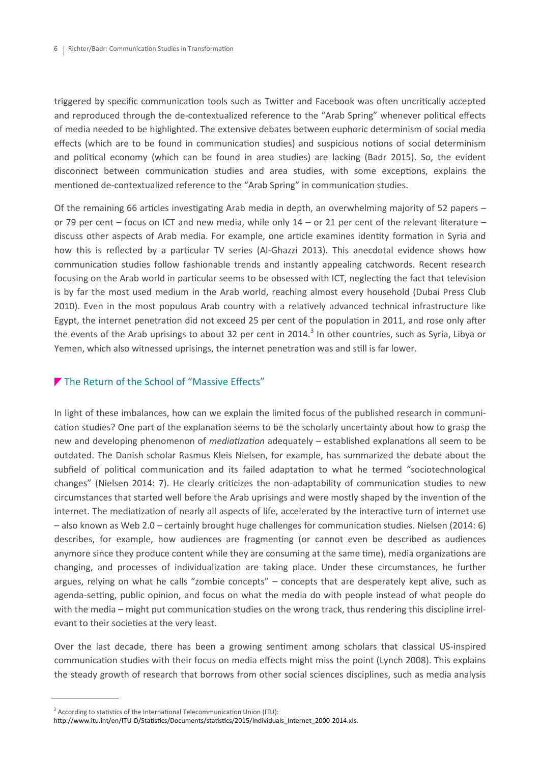triggered by specific communication tools such as Twitter and Facebook was often uncritically accepted and reproduced through the de-contextualized reference to the "Arab Spring" whenever political effects of media needed to be highlighted. The extensive debates between euphoric determinism of social media effects (which are to be found in communication studies) and suspicious notions of social determinism and political economy (which can be found in area studies) are lacking (Badr 2015). So, the evident disconnect between communication studies and area studies, with some exceptions, explains the mentioned de-contextualized reference to the "Arab Spring" in communication studies.

Of the remaining 66 articles investigating Arab media in depth, an overwhelming majority of 52 papers – or 79 per cent – focus on ICT and new media, while only 14 – or 21 per cent of the relevant literature – discuss other aspects of Arab media. For example, one article examines identity formation in Syria and how this is reflected by a particular TV series (Al-Ghazzi 2013). This anecdotal evidence shows how communication studies follow fashionable trends and instantly appealing catchwords. Recent research focusing on the Arab world in particular seems to be obsessed with ICT, neglecting the fact that television is by far the most used medium in the Arab world, reaching almost every household (Dubai Press Club 2010). Even in the most populous Arab country with a relatively advanced technical infrastructure like Egypt, the internet penetration did not exceed 25 per cent of the population in 2011, and rose only after the events of the Arab uprisings to about 32 per cent in 2014.<sup>3</sup> In other countries, such as Syria, Libya or Yemen, which also witnessed uprisings, the internet penetration was and still is far lower.

### The Return of the School of "Massive Effects"

In light of these imbalances, how can we explain the limited focus of the published research in communication studies? One part of the explanation seems to be the scholarly uncertainty about how to grasp the new and developing phenomenon of *mediatization* adequately – established explanations all seem to be outdated. The Danish scholar Rasmus Kleis Nielsen, for example, has summarized the debate about the subfield of political communication and its failed adaptation to what he termed "sociotechnological changes" (Nielsen 2014: 7). He clearly criticizes the non-adaptability of communication studies to new circumstances that started well before the Arab uprisings and were mostly shaped by the invention of the internet. The mediatization of nearly all aspects of life, accelerated by the interactive turn of internet use – also known as Web 2.0 – certainly brought huge challenges for communication studies. Nielsen (2014: 6) describes, for example, how audiences are fragmenting (or cannot even be described as audiences anymore since they produce content while they are consuming at the same time), media organizations are changing, and processes of individualization are taking place. Under these circumstances, he further argues, relying on what he calls "zombie concepts" – concepts that are desperately kept alive, such as agenda-setting, public opinion, and focus on what the media do with people instead of what people do with the media – might put communication studies on the wrong track, thus rendering this discipline irrelevant to their societies at the very least.

Over the last decade, there has been a growing sentiment among scholars that classical US-inspired communication studies with their focus on media effects might miss the point (Lynch 2008). This explains the steady growth of research that borrows from other social sciences disciplines, such as media analysis

 $3$  According to statistics of the International Telecommunication Union (ITU):

http://www.itu.int/en/ITU-[D/Statistics/Documents/statistics/2015/Individuals\\_Internet\\_2000](http://www.itu.int/en/ITU-D/Statistics/Documents/statistics/2015/Individuals_Internet_2000-2014.xls)-2014.xls.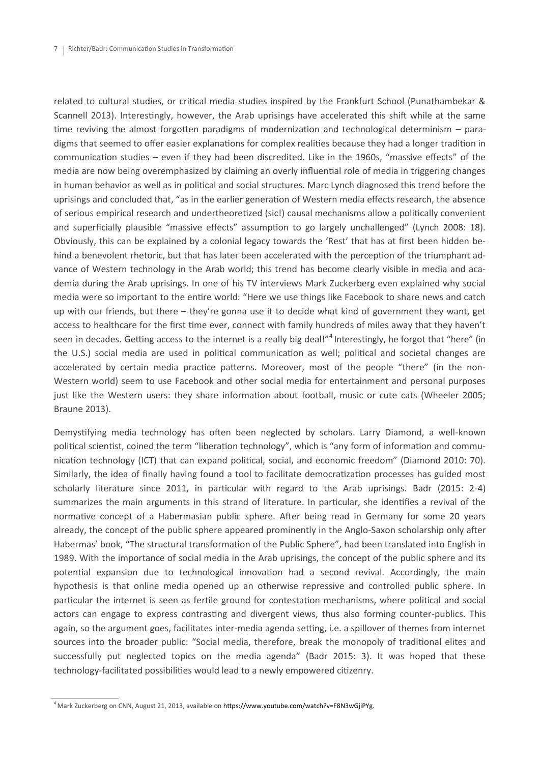related to cultural studies, or critical media studies inspired by the Frankfurt School (Punathambekar & Scannell 2013). Interestingly, however, the Arab uprisings have accelerated this shift while at the same time reviving the almost forgotten paradigms of modernization and technological determinism - paradigms that seemed to offer easier explanations for complex realities because they had a longer tradition in communication studies – even if they had been discredited. Like in the 1960s, "massive effects" of the media are now being overemphasized by claiming an overly influential role of media in triggering changes in human behavior as well as in political and social structures. Marc Lynch diagnosed this trend before the uprisings and concluded that, "as in the earlier generation of Western media effects research, the absence of serious empirical research and undertheoretized (sic!) causal mechanisms allow a politically convenient and superficially plausible "massive effects" assumption to go largely unchallenged" (Lynch 2008: 18). Obviously, this can be explained by a colonial legacy towards the 'Rest' that has at first been hidden behind a benevolent rhetoric, but that has later been accelerated with the perception of the triumphant advance of Western technology in the Arab world; this trend has become clearly visible in media and academia during the Arab uprisings. In one of his TV interviews Mark Zuckerberg even explained why social media were so important to the entire world: "Here we use things like Facebook to share news and catch up with our friends, but there – they're gonna use it to decide what kind of government they want, get access to healthcare for the first time ever, connect with family hundreds of miles away that they haven't seen in decades. Getting access to the internet is a really big deal!"<sup>4</sup> Interestingly, he forgot that "here" (in the U.S.) social media are used in political communication as well; political and societal changes are accelerated by certain media practice patterns. Moreover, most of the people "there" (in the non-Western world) seem to use Facebook and other social media for entertainment and personal purposes just like the Western users: they share information about football, music or cute cats (Wheeler 2005; Braune 2013).

Demystifying media technology has often been neglected by scholars. Larry Diamond, a well-known political scientist, coined the term "liberation technology", which is "any form of information and communication technology (ICT) that can expand political, social, and economic freedom" (Diamond 2010: 70). Similarly, the idea of finally having found a tool to facilitate democratization processes has guided most scholarly literature since 2011, in particular with regard to the Arab uprisings. Badr (2015: 2-4) summarizes the main arguments in this strand of literature. In particular, she identifies a revival of the normative concept of a Habermasian public sphere. After being read in Germany for some 20 years already, the concept of the public sphere appeared prominently in the Anglo-Saxon scholarship only after Habermas' book, "The structural transformation of the Public Sphere", had been translated into English in 1989. With the importance of social media in the Arab uprisings, the concept of the public sphere and its potential expansion due to technological innovation had a second revival. Accordingly, the main hypothesis is that online media opened up an otherwise repressive and controlled public sphere. In particular the internet is seen as fertile ground for contestation mechanisms, where political and social actors can engage to express contrasting and divergent views, thus also forming counter-publics. This again, so the argument goes, facilitates inter-media agenda setting, i.e. a spillover of themes from internet sources into the broader public: "Social media, therefore, break the monopoly of traditional elites and successfully put neglected topics on the media agenda" (Badr 2015: 3). It was hoped that these technology-facilitated possibilities would lead to a newly empowered citizenry.

<sup>&</sup>lt;sup>4</sup> Mark Zuckerberg on CNN, August 21, 2013, available on [https://www.youtube.com/watch?v=F8N3wGjiPYg.](https://www.youtube.com/watch?v=F8N3wGjiPYg)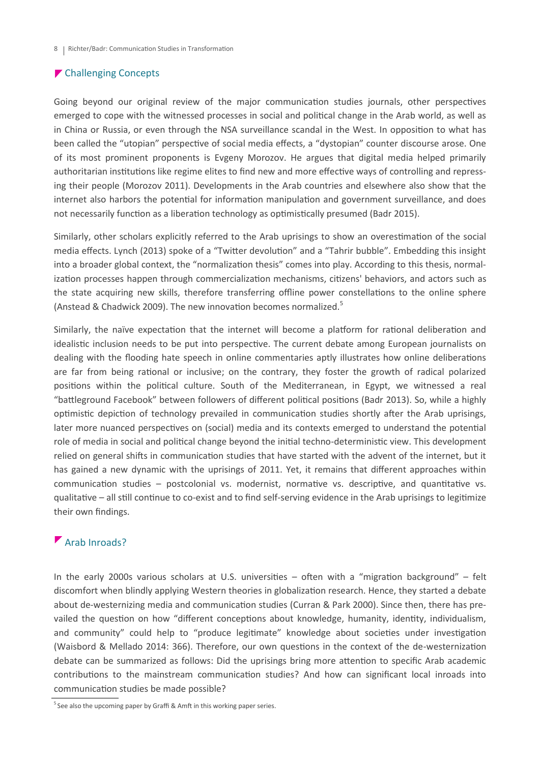### ▶ Challenging Concepts

Going beyond our original review of the major communication studies journals, other perspectives emerged to cope with the witnessed processes in social and political change in the Arab world, as well as in China or Russia, or even through the NSA surveillance scandal in the West. In opposition to what has been called the "utopian" perspective of social media effects, a "dystopian" counter discourse arose. One of its most prominent proponents is Evgeny Morozov. He argues that digital media helped primarily authoritarian institutions like regime elites to find new and more effective ways of controlling and repressing their people (Morozov 2011). Developments in the Arab countries and elsewhere also show that the internet also harbors the potential for information manipulation and government surveillance, and does not necessarily function as a liberation technology as optimistically presumed (Badr 2015).

Similarly, other scholars explicitly referred to the Arab uprisings to show an overestimation of the social media effects. Lynch (2013) spoke of a "Twitter devolution" and a "Tahrir bubble". Embedding this insight into a broader global context, the "normalization thesis" comes into play. According to this thesis, normalization processes happen through commercialization mechanisms, citizens' behaviors, and actors such as the state acquiring new skills, therefore transferring offline power constellations to the online sphere (Anstead & Chadwick 2009). The new innovation becomes normalized.<sup>5</sup>

Similarly, the naïve expectation that the internet will become a platform for rational deliberation and idealistic inclusion needs to be put into perspective. The current debate among European journalists on dealing with the flooding hate speech in online commentaries aptly illustrates how online deliberations are far from being rational or inclusive; on the contrary, they foster the growth of radical polarized positions within the political culture. South of the Mediterranean, in Egypt, we witnessed a real "battleground Facebook" between followers of different political positions (Badr 2013). So, while a highly optimistic depiction of technology prevailed in communication studies shortly after the Arab uprisings, later more nuanced perspectives on (social) media and its contexts emerged to understand the potential role of media in social and political change beyond the initial techno-deterministic view. This development relied on general shifts in communication studies that have started with the advent of the internet, but it has gained a new dynamic with the uprisings of 2011. Yet, it remains that different approaches within communication studies – postcolonial vs. modernist, normative vs. descriptive, and quantitative vs. qualitative – all still continue to co-exist and to find self-serving evidence in the Arab uprisings to legitimize their own findings.

## Arab Inroads?

In the early 2000s various scholars at U.S. universities – often with a "migration background" – felt discomfort when blindly applying Western theories in globalization research. Hence, they started a debate about de-westernizing media and communication studies (Curran & Park 2000). Since then, there has prevailed the question on how "different conceptions about knowledge, humanity, identity, individualism, and community" could help to "produce legitimate" knowledge about societies under investigation (Waisbord & Mellado 2014: 366). Therefore, our own questions in the context of the de-westernization debate can be summarized as follows: Did the uprisings bring more attention to specific Arab academic contributions to the mainstream communication studies? And how can significant local inroads into communication studies be made possible?

 $5$  See also the upcoming paper by Graffi & Amft in this working paper series.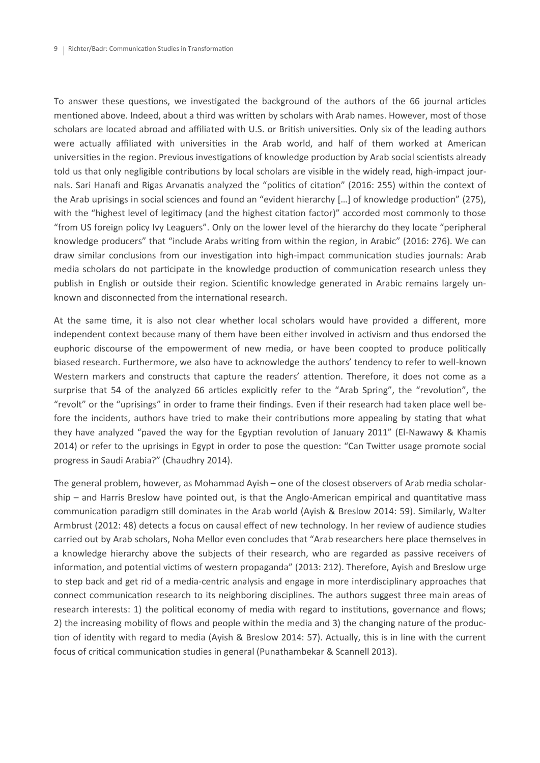To answer these questions, we investigated the background of the authors of the 66 journal articles mentioned above. Indeed, about a third was written by scholars with Arab names. However, most of those scholars are located abroad and affiliated with U.S. or British universities. Only six of the leading authors were actually affiliated with universities in the Arab world, and half of them worked at American universities in the region. Previous investigations of knowledge production by Arab social scientists already told us that only negligible contributions by local scholars are visible in the widely read, high-impact journals. Sari Hanafi and Rigas Arvanatis analyzed the "politics of citation" (2016: 255) within the context of the Arab uprisings in social sciences and found an "evident hierarchy […] of knowledge production" (275), with the "highest level of legitimacy (and the highest citation factor)" accorded most commonly to those "from US foreign policy Ivy Leaguers". Only on the lower level of the hierarchy do they locate "peripheral knowledge producers" that "include Arabs writing from within the region, in Arabic" (2016: 276). We can draw similar conclusions from our investigation into high-impact communication studies journals: Arab media scholars do not participate in the knowledge production of communication research unless they publish in English or outside their region. Scientific knowledge generated in Arabic remains largely unknown and disconnected from the international research.

At the same time, it is also not clear whether local scholars would have provided a different, more independent context because many of them have been either involved in activism and thus endorsed the euphoric discourse of the empowerment of new media, or have been coopted to produce politically biased research. Furthermore, we also have to acknowledge the authors' tendency to refer to well-known Western markers and constructs that capture the readers' attention. Therefore, it does not come as a surprise that 54 of the analyzed 66 articles explicitly refer to the "Arab Spring", the "revolution", the "revolt" or the "uprisings" in order to frame their findings. Even if their research had taken place well before the incidents, authors have tried to make their contributions more appealing by stating that what they have analyzed "paved the way for the Egyptian revolution of January 2011" (El-Nawawy & Khamis 2014) or refer to the uprisings in Egypt in order to pose the question: "Can Twitter usage promote social progress in Saudi Arabia?" (Chaudhry 2014).

The general problem, however, as Mohammad Ayish – one of the closest observers of Arab media scholarship – and Harris Breslow have pointed out, is that the Anglo-American empirical and quantitative mass communication paradigm still dominates in the Arab world (Ayish & Breslow 2014: 59). Similarly, Walter Armbrust (2012: 48) detects a focus on causal effect of new technology. In her review of audience studies carried out by Arab scholars, Noha Mellor even concludes that "Arab researchers here place themselves in a knowledge hierarchy above the subjects of their research, who are regarded as passive receivers of information, and potential victims of western propaganda" (2013: 212). Therefore, Ayish and Breslow urge to step back and get rid of a media-centric analysis and engage in more interdisciplinary approaches that connect communication research to its neighboring disciplines. The authors suggest three main areas of research interests: 1) the political economy of media with regard to institutions, governance and flows; 2) the increasing mobility of flows and people within the media and 3) the changing nature of the production of identity with regard to media (Ayish & Breslow 2014: 57). Actually, this is in line with the current focus of critical communication studies in general (Punathambekar & Scannell 2013).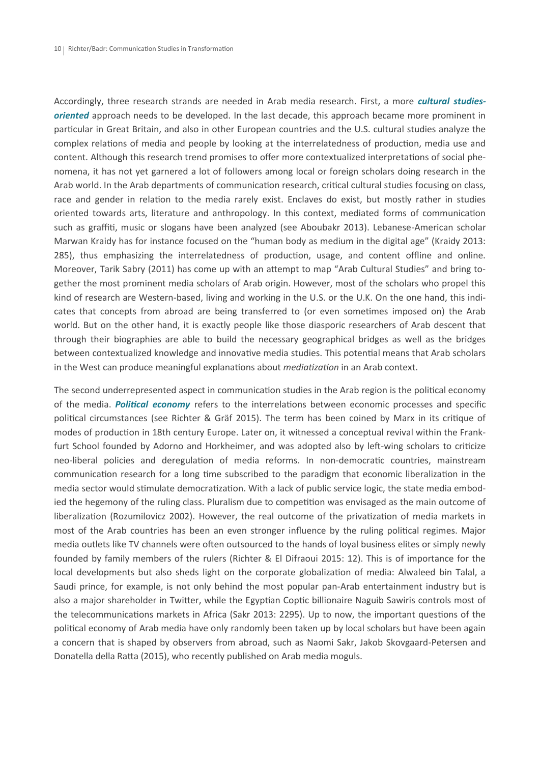Accordingly, three research strands are needed in Arab media research. First, a more *cultural studiesoriented* approach needs to be developed. In the last decade, this approach became more prominent in particular in Great Britain, and also in other European countries and the U.S. cultural studies analyze the complex relations of media and people by looking at the interrelatedness of production, media use and content. Although this research trend promises to offer more contextualized interpretations of social phenomena, it has not yet garnered a lot of followers among local or foreign scholars doing research in the Arab world. In the Arab departments of communication research, critical cultural studies focusing on class, race and gender in relation to the media rarely exist. Enclaves do exist, but mostly rather in studies oriented towards arts, literature and anthropology. In this context, mediated forms of communication such as graffiti, music or slogans have been analyzed (see Aboubakr 2013). Lebanese-American scholar Marwan Kraidy has for instance focused on the "human body as medium in the digital age" (Kraidy 2013: 285), thus emphasizing the interrelatedness of production, usage, and content offline and online. Moreover, Tarik Sabry (2011) has come up with an attempt to map "Arab Cultural Studies" and bring together the most prominent media scholars of Arab origin. However, most of the scholars who propel this kind of research are Western-based, living and working in the U.S. or the U.K. On the one hand, this indicates that concepts from abroad are being transferred to (or even sometimes imposed on) the Arab world. But on the other hand, it is exactly people like those diasporic researchers of Arab descent that through their biographies are able to build the necessary geographical bridges as well as the bridges between contextualized knowledge and innovative media studies. This potential means that Arab scholars in the West can produce meaningful explanations about *mediatization* in an Arab context.

The second underrepresented aspect in communication studies in the Arab region is the political economy of the media. *Political economy* refers to the interrelations between economic processes and specific political circumstances (see Richter & Gräf 2015). The term has been coined by Marx in its critique of modes of production in 18th century Europe. Later on, it witnessed a conceptual revival within the Frankfurt School founded by Adorno and Horkheimer, and was adopted also by left-wing scholars to criticize neo-liberal policies and deregulation of media reforms. In non-democratic countries, mainstream communication research for a long time subscribed to the paradigm that economic liberalization in the media sector would stimulate democratization. With a lack of public service logic, the state media embodied the hegemony of the ruling class. Pluralism due to competition was envisaged as the main outcome of liberalization (Rozumilovicz 2002). However, the real outcome of the privatization of media markets in most of the Arab countries has been an even stronger influence by the ruling political regimes. Major media outlets like TV channels were often outsourced to the hands of loyal business elites or simply newly founded by family members of the rulers (Richter & El Difraoui 2015: 12). This is of importance for the local developments but also sheds light on the corporate globalization of media: Alwaleed bin Talal, a Saudi prince, for example, is not only behind the most popular pan-Arab entertainment industry but is also a major shareholder in Twitter, while the Egyptian Coptic billionaire Naguib Sawiris controls most of the telecommunications markets in Africa (Sakr 2013: 2295). Up to now, the important questions of the political economy of Arab media have only randomly been taken up by local scholars but have been again a concern that is shaped by observers from abroad, such as Naomi Sakr, Jakob Skovgaard-Petersen and Donatella della Ratta (2015), who recently published on Arab media moguls.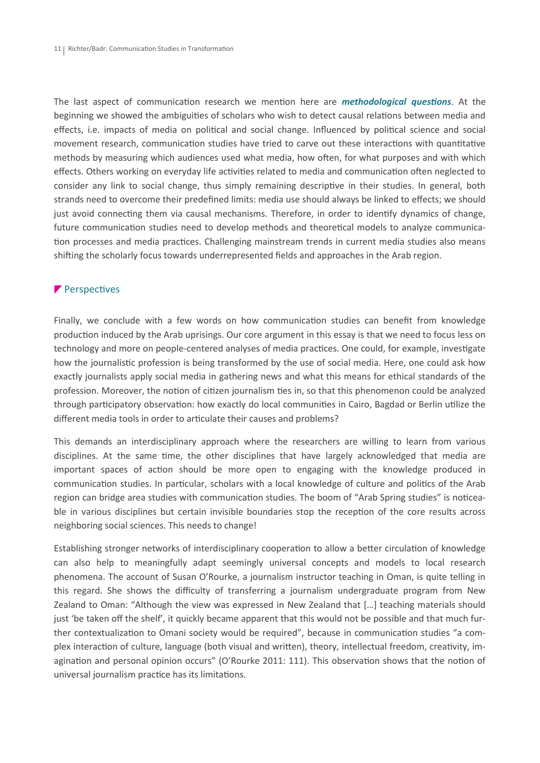The last aspect of communication research we mention here are *methodological questions*. At the beginning we showed the ambiguities of scholars who wish to detect causal relations between media and effects, i.e. impacts of media on political and social change. Influenced by political science and social movement research, communication studies have tried to carve out these interactions with quantitative methods by measuring which audiences used what media, how often, for what purposes and with which effects. Others working on everyday life activities related to media and communication often neglected to consider any link to social change, thus simply remaining descriptive in their studies. In general, both strands need to overcome their predefined limits: media use should always be linked to effects; we should just avoid connecting them via causal mechanisms. Therefore, in order to identify dynamics of change, future communication studies need to develop methods and theoretical models to analyze communication processes and media practices. Challenging mainstream trends in current media studies also means shifting the scholarly focus towards underrepresented fields and approaches in the Arab region.

### Perspectives

Finally, we conclude with a few words on how communication studies can benefit from knowledge production induced by the Arab uprisings. Our core argument in this essay is that we need to focus less on technology and more on people-centered analyses of media practices. One could, for example, investigate how the journalistic profession is being transformed by the use of social media. Here, one could ask how exactly journalists apply social media in gathering news and what this means for ethical standards of the profession. Moreover, the notion of citizen journalism ties in, so that this phenomenon could be analyzed through participatory observation: how exactly do local communities in Cairo, Bagdad or Berlin utilize the different media tools in order to articulate their causes and problems?

This demands an interdisciplinary approach where the researchers are willing to learn from various disciplines. At the same time, the other disciplines that have largely acknowledged that media are important spaces of action should be more open to engaging with the knowledge produced in communication studies. In particular, scholars with a local knowledge of culture and politics of the Arab region can bridge area studies with communication studies. The boom of "Arab Spring studies" is noticeable in various disciplines but certain invisible boundaries stop the reception of the core results across neighboring social sciences. This needs to change!

Establishing stronger networks of interdisciplinary cooperation to allow a better circulation of knowledge can also help to meaningfully adapt seemingly universal concepts and models to local research phenomena. The account of Susan O'Rourke, a journalism instructor teaching in Oman, is quite telling in this regard. She shows the difficulty of transferring a journalism undergraduate program from New Zealand to Oman: "Although the view was expressed in New Zealand that […] teaching materials should just 'be taken off the shelf', it quickly became apparent that this would not be possible and that much further contextualization to Omani society would be required", because in communication studies "a complex interaction of culture, language (both visual and written), theory, intellectual freedom, creativity, imagination and personal opinion occurs" (O'Rourke 2011: 111). This observation shows that the notion of universal journalism practice has its limitations.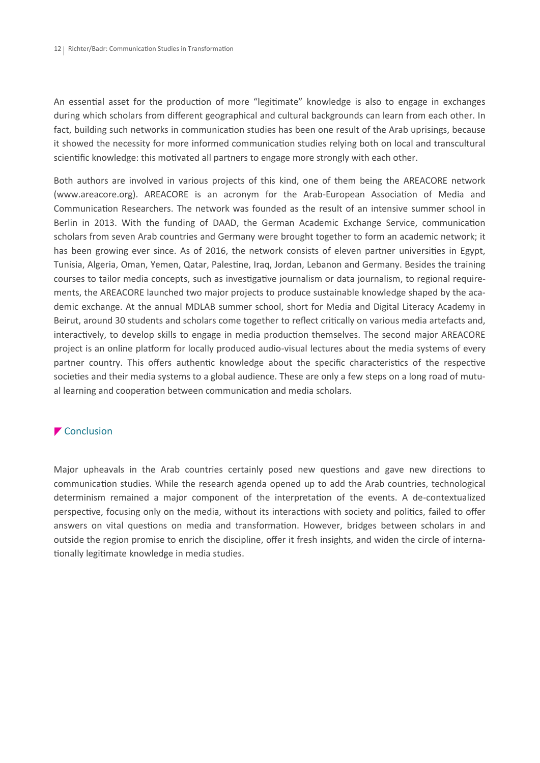An essential asset for the production of more "legitimate" knowledge is also to engage in exchanges during which scholars from different geographical and cultural backgrounds can learn from each other. In fact, building such networks in communication studies has been one result of the Arab uprisings, because it showed the necessity for more informed communication studies relying both on local and transcultural scientific knowledge: this motivated all partners to engage more strongly with each other.

Both authors are involved in various projects of this kind, one of them being the AREACORE network (www.areacore.org). AREACORE is an acronym for the Arab-European Association of Media and Communication Researchers. The network was founded as the result of an intensive summer school in Berlin in 2013. With the funding of DAAD, the German Academic Exchange Service, communication scholars from seven Arab countries and Germany were brought together to form an academic network; it has been growing ever since. As of 2016, the network consists of eleven partner universities in Egypt, Tunisia, Algeria, Oman, Yemen, Qatar, Palestine, Iraq, Jordan, Lebanon and Germany. Besides the training courses to tailor media concepts, such as investigative journalism or data journalism, to regional requirements, the AREACORE launched two major projects to produce sustainable knowledge shaped by the academic exchange. At the annual MDLAB summer school, short for Media and Digital Literacy Academy in Beirut, around 30 students and scholars come together to reflect critically on various media artefacts and, interactively, to develop skills to engage in media production themselves. The second major AREACORE project is an online platform for locally produced audio-visual lectures about the media systems of every partner country. This offers authentic knowledge about the specific characteristics of the respective societies and their media systems to a global audience. These are only a few steps on a long road of mutual learning and cooperation between communication and media scholars.

### ▼ Conclusion

Major upheavals in the Arab countries certainly posed new questions and gave new directions to communication studies. While the research agenda opened up to add the Arab countries, technological determinism remained a major component of the interpretation of the events. A de-contextualized perspective, focusing only on the media, without its interactions with society and politics, failed to offer answers on vital questions on media and transformation. However, bridges between scholars in and outside the region promise to enrich the discipline, offer it fresh insights, and widen the circle of internationally legitimate knowledge in media studies.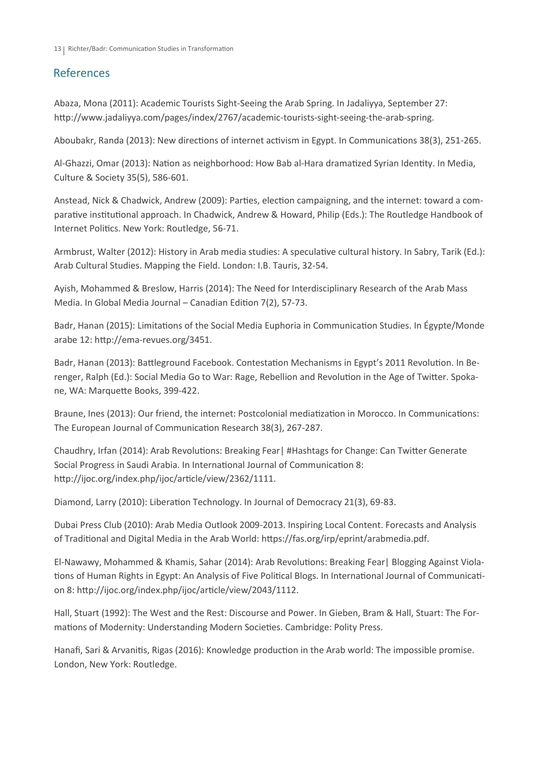# References

Abaza, Mona (2011): Academic Tourists Sight-Seeing the Arab Spring. In Jadaliyya, September 27: http://www.jadaliyya.com/pages/index/2767/academic-tourists-sight-seeing-the-arab-spring.

Aboubakr, Randa (2013): New directions of internet activism in Egypt. In Communications 38(3), 251-265.

Al-Ghazzi, Omar (2013): Nation as neighborhood: How Bab al-Hara dramatized Syrian Identity. In Media, Culture & Society 35(5), 586-601.

Anstead, Nick & Chadwick, Andrew (2009): Parties, election campaigning, and the internet: toward a comparative institutional approach. In Chadwick, Andrew & Howard, Philip (Eds.): The Routledge Handbook of Internet Politics. New York: Routledge, 56-71.

Armbrust, Walter (2012): History in Arab media studies: A speculative cultural history. In Sabry, Tarik (Ed.): Arab Cultural Studies. Mapping the Field. London: I.B. Tauris, 32-54.

Ayish, Mohammed & Breslow, Harris (2014): The Need for Interdisciplinary Research of the Arab Mass Media. In Global Media Journal – Canadian Edition 7(2), 57-73.

Badr, Hanan (2015): Limitations of the Social Media Euphoria in Communication Studies. In Égypte/Monde arabe 12: http://ema-revues.org/3451.

Badr, Hanan (2013): Battleground Facebook. Contestation Mechanisms in Egypt's 2011 Revolution. In Berenger, Ralph (Ed.): Social Media Go to War: Rage, Rebellion and Revolution in the Age of Twitter. Spokane, WA: Marquette Books, 399-422.

Braune, Ines (2013): Our friend, the internet: Postcolonial mediatization in Morocco. In Communications: The European Journal of Communication Research 38(3), 267-287.

Chaudhry, Irfan (2014): Arab Revolutions: Breaking Fear| #Hashtags for Change: Can Twitter Generate Social Progress in Saudi Arabia. In International Journal of Communication 8: http://ijoc.org/index.php/ijoc/article/view/2362/1111.

Diamond, Larry (2010): Liberation Technology. In Journal of Democracy 21(3), 69-83.

Dubai Press Club (2010): Arab Media Outlook 2009-2013. Inspiring Local Content. Forecasts and Analysis of Traditional and Digital Media in the Arab World: https://fas.org/irp/eprint/arabmedia.pdf.

El-Nawawy, Mohammed & Khamis, Sahar (2014): Arab Revolutions: Breaking Fear| Blogging Against Violations of Human Rights in Egypt: An Analysis of Five Political Blogs. In International Journal of Communication 8: http://ijoc.org/index.php/ijoc/article/view/2043/1112.

Hall, Stuart (1992): The West and the Rest: Discourse and Power. In Gieben, Bram & Hall, Stuart: The Formations of Modernity: Understanding Modern Societies. Cambridge: Polity Press.

Hanafi, Sari & Arvanitis, Rigas (2016): Knowledge production in the Arab world: The impossible promise. London, New York: Routledge.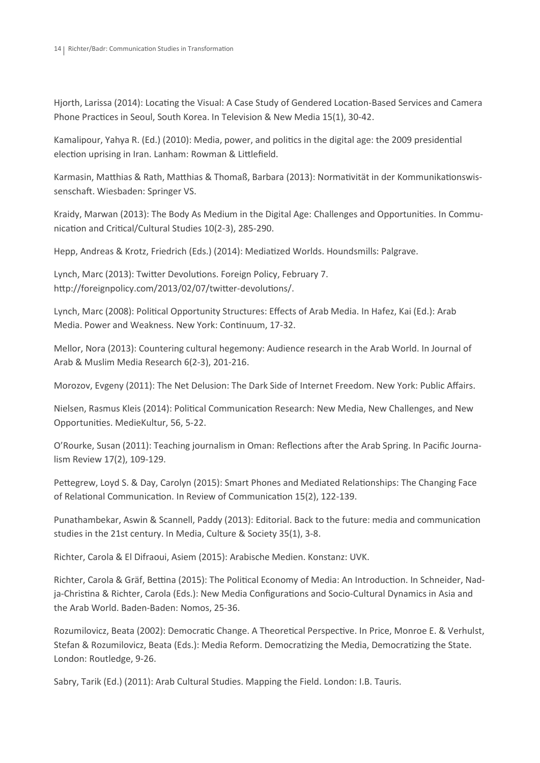Hjorth, Larissa (2014): Locating the Visual: A Case Study of Gendered Location-Based Services and Camera Phone Practices in Seoul, South Korea. In Television & New Media 15(1), 30-42.

Kamalipour, Yahya R. (Ed.) (2010): Media, power, and politics in the digital age: the 2009 presidential election uprising in Iran. Lanham: Rowman & Littlefield.

Karmasin, Matthias & Rath, Matthias & Thomaß, Barbara (2013): Normativität in der Kommunikationswissenschaft. Wiesbaden: Springer VS.

Kraidy, Marwan (2013): The Body As Medium in the Digital Age: Challenges and Opportunities. In Communication and Critical/Cultural Studies 10(2-3), 285-290.

Hepp, Andreas & Krotz, Friedrich (Eds.) (2014): Mediatized Worlds. Houndsmills: Palgrave.

Lynch, Marc (2013): Twitter Devolutions. Foreign Policy, February 7. http://foreignpolicy.com/2013/02/07/twitter-devolutions/.

Lynch, Marc (2008): Political Opportunity Structures: Effects of Arab Media. In Hafez, Kai (Ed.): Arab Media. Power and Weakness. New York: Continuum, 17-32.

Mellor, Nora (2013): Countering cultural hegemony: Audience research in the Arab World. In Journal of Arab & Muslim Media Research 6(2-3), 201-216.

Morozov, Evgeny (2011): The Net Delusion: The Dark Side of Internet Freedom. New York: Public Affairs.

Nielsen, Rasmus Kleis (2014): Political Communication Research: New Media, New Challenges, and New Opportunities. MedieKultur, 56, 5-22.

O'Rourke, Susan (2011): Teaching journalism in Oman: Reflections after the Arab Spring. In Pacific Journalism Review 17(2), 109-129.

Pettegrew, Loyd S. & Day, Carolyn (2015): Smart Phones and Mediated Relationships: The Changing Face of Relational Communication. In Review of Communication 15(2), 122-139.

Punathambekar, Aswin & Scannell, Paddy (2013): Editorial. Back to the future: media and communication studies in the 21st century. In Media, Culture & Society 35(1), 3-8.

Richter, Carola & El Difraoui, Asiem (2015): Arabische Medien. Konstanz: UVK.

Richter, Carola & Gräf, Bettina (2015): The Political Economy of Media: An Introduction. In Schneider, Nadja-Christina & Richter, Carola (Eds.): New Media Configurations and Socio-Cultural Dynamics in Asia and the Arab World. Baden-Baden: Nomos, 25-36.

Rozumilovicz, Beata (2002): Democratic Change. A Theoretical Perspective. In Price, Monroe E. & Verhulst, Stefan & Rozumilovicz, Beata (Eds.): Media Reform. Democratizing the Media, Democratizing the State. London: Routledge, 9-26.

Sabry, Tarik (Ed.) (2011): Arab Cultural Studies. Mapping the Field. London: I.B. Tauris.